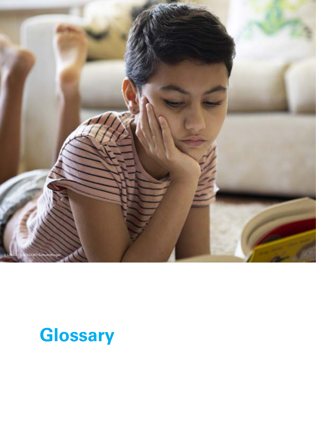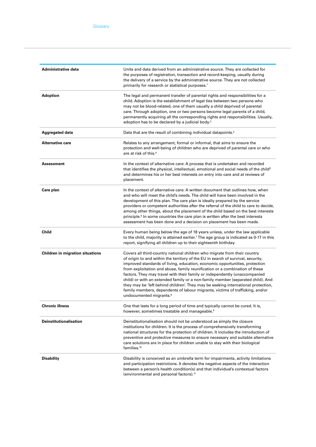| Administrative data                     | Units and data derived from an administrative source. They are collected for<br>the purposes of registration, transaction and record-keeping, usually during<br>the delivery of a service by the administrative source. They are not collected<br>primarily for research or statistical purposes. <sup>1</sup>                                                                                                                                                                                                                                                                                                                                                                                            |
|-----------------------------------------|-----------------------------------------------------------------------------------------------------------------------------------------------------------------------------------------------------------------------------------------------------------------------------------------------------------------------------------------------------------------------------------------------------------------------------------------------------------------------------------------------------------------------------------------------------------------------------------------------------------------------------------------------------------------------------------------------------------|
| Adoption                                | The legal and permanent transfer of parental rights and responsibilities for a<br>child. Adoption is the establishment of legal ties between two persons who<br>may not be blood-related, one of them usually a child deprived of parental<br>care. Through adoption, one or two persons become legal parents of a child,<br>permanently acquiring all the corresponding rights and responsibilities. Usually,<br>adoption has to be declared by a judicial body. <sup>2</sup>                                                                                                                                                                                                                            |
| Aggregated data                         | Data that are the result of combining individual datapoints. <sup>3</sup>                                                                                                                                                                                                                                                                                                                                                                                                                                                                                                                                                                                                                                 |
| <b>Alternative care</b>                 | Relates to any arrangement, formal or informal, that aims to ensure the<br>protection and well-being of children who are deprived of parental care or who<br>are at risk of this. <sup>4</sup>                                                                                                                                                                                                                                                                                                                                                                                                                                                                                                            |
| Assessment                              | In the context of alternative care: A process that is undertaken and recorded<br>that identifies the physical, intellectual, emotional and social needs of the child <sup>5</sup><br>and determines his or her best interests on entry into care and at reviews of<br>placement.                                                                                                                                                                                                                                                                                                                                                                                                                          |
| Care plan                               | In the context of alternative care: A written document that outlines how, when<br>and who will meet the child's needs. The child will have been involved in the<br>development of this plan. The care plan is ideally prepared by the service<br>providers or competent authorities after the referral of the child to care to decide,<br>among other things, about the placement of the child based on the best interests<br>principle. <sup>6</sup> In some countries the care plan is written after the best interests<br>assessment has been done and a decision on placement has been made.                                                                                                          |
| Child                                   | Every human being below the age of 18 years unless, under the law applicable<br>to the child, majority is attained earlier. <sup>7</sup> The age group is indicated as 0-17 in this<br>report, signifying all children up to their eighteenth birthday.                                                                                                                                                                                                                                                                                                                                                                                                                                                   |
| <b>Children in migration situations</b> | Covers all third-country national children who migrate from their country<br>of origin to and within the territory of the EU in search of survival, security,<br>improved standards of living, education, economic opportunities, protection<br>from exploitation and abuse, family reunification or a combination of these<br>factors. They may travel with their family or independently (unaccompanied<br>child) or with an extended family or a non-family member (separated child). And<br>they may be 'left behind children'. They may be seeking international protection,<br>family members, dependents of labour migrants, victims of trafficking, and/or<br>undocumented migrants. <sup>8</sup> |
| <b>Chronic illness</b>                  | One that lasts for a long period of time and typically cannot be cured. It is,<br>however, sometimes treatable and manageable. <sup>9</sup>                                                                                                                                                                                                                                                                                                                                                                                                                                                                                                                                                               |
| <b>Deinstitutionalisation</b>           | Deinstitutionalisation should not be understood as simply the closure<br>institutions for children. It is the process of comprehensively transforming<br>national structures for the protection of children. It includes the introduction of<br>preventive and protective measures to ensure necessary and suitable alternative<br>care solutions are in place for children unable to stay with their biological<br>families. <sup>10</sup>                                                                                                                                                                                                                                                               |
| <b>Disability</b>                       | Disability is conceived as an umbrella term for impairments, activity limitations<br>and participation restrictions. It denotes the negative aspects of the interaction<br>between a person's health condition(s) and that individual's contextual factors<br>(environmental and personal factors). <sup>11</sup>                                                                                                                                                                                                                                                                                                                                                                                         |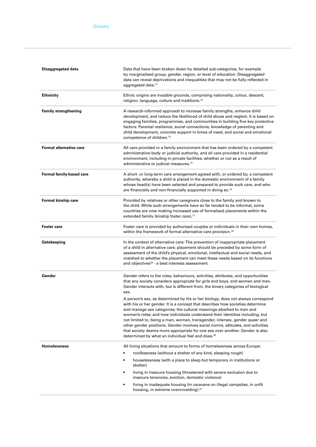| Disaggregated data             | Data that have been broken down by detailed sub-categories, for example<br>by marginalised group, gender, region, or level of education. Disaggregated<br>data can reveal deprivations and inequalities that may not be fully reflected in<br>aggregated data. <sup>12</sup>                                                                                                                                                                                                                                                                                                                                                                                                                                                                                                                                                                                                                                     |
|--------------------------------|------------------------------------------------------------------------------------------------------------------------------------------------------------------------------------------------------------------------------------------------------------------------------------------------------------------------------------------------------------------------------------------------------------------------------------------------------------------------------------------------------------------------------------------------------------------------------------------------------------------------------------------------------------------------------------------------------------------------------------------------------------------------------------------------------------------------------------------------------------------------------------------------------------------|
| <b>Ethnicity</b>               | Ethnic origins are mutable grounds, comprising nationality, colour, descent,<br>religion, language, culture and traditions. <sup>13</sup>                                                                                                                                                                                                                                                                                                                                                                                                                                                                                                                                                                                                                                                                                                                                                                        |
| <b>Family strengthening</b>    | A research-informed approach to increase family strengths, enhance child<br>development, and reduce the likelihood of child abuse and neglect. It is based on<br>engaging families, programmes, and communities in building five key protective<br>factors: Parental resilience, social connections, knowledge of parenting and<br>child development, concrete support in times of need, and social and emotional<br>competence of children. <sup>14</sup>                                                                                                                                                                                                                                                                                                                                                                                                                                                       |
| <b>Formal alternative care</b> | All care provided in a family environment that has been ordered by a competent<br>administrative body or judicial authority, and all care provided in a residential<br>environment, including in private facilities, whether or not as a result of<br>administrative or judicial measures. <sup>15</sup>                                                                                                                                                                                                                                                                                                                                                                                                                                                                                                                                                                                                         |
| Formal family-based care       | A short- or long-term care arrangement agreed with, or ordered by, a competent<br>authority, whereby a child is placed in the domestic environment of a family<br>whose head(s) have been selected and prepared to provide such care, and who<br>are financially and non-financially supported in doing so. <sup>16</sup>                                                                                                                                                                                                                                                                                                                                                                                                                                                                                                                                                                                        |
| Formal kinship care            | Provided by relatives or other caregivers close to the family and known to<br>the child. While such arrangements have so far tended to be informal, some<br>countries are now making increased use of formalised placements within the<br>extended family (kinship foster care). <sup>17</sup>                                                                                                                                                                                                                                                                                                                                                                                                                                                                                                                                                                                                                   |
| <b>Foster care</b>             | Foster care is provided by authorised couples or individuals in their own homes,<br>within the framework of formal alternative care provision. <sup>18</sup>                                                                                                                                                                                                                                                                                                                                                                                                                                                                                                                                                                                                                                                                                                                                                     |
| Gatekeeping                    | In the context of alternative care: The prevention of inappropriate placement<br>of a child in alternative care; placement should be preceded by some form of<br>assessment of the child's physical, emotional, intellectual and social needs, and<br>matched to whether the placement can meet these needs based on its functions<br>and objectives <sup>19</sup> - a best interests assessment.                                                                                                                                                                                                                                                                                                                                                                                                                                                                                                                |
| Gender                         | Gender refers to the roles, behaviours, activities, attributes, and opportunities<br>that any society considers appropriate for girls and boys, and women and men.<br>Gender interacts with, but is different from, the binary categories of biological<br>sex.<br>A person's sex, as determined by his or her biology, does not always correspond<br>with his or her gender. It is a concept that describes how societies determine<br>and manage sex categories; the cultural meanings attached to men and<br>women's roles; and how individuals understand their identities including, but<br>not limited to, being a man, woman, transgender, intersex, gender queer and<br>other gender positions. Gender involves social norms, attitudes, and activities<br>that society deems more appropriate for one sex over another. Gender is also<br>determined by what an individual feel and does. <sup>20</sup> |
| <b>Homelessness</b>            | All living situations that amount to forms of homelessness across Europe:                                                                                                                                                                                                                                                                                                                                                                                                                                                                                                                                                                                                                                                                                                                                                                                                                                        |
|                                | rooflessness (without a shelter of any kind, sleeping rough)                                                                                                                                                                                                                                                                                                                                                                                                                                                                                                                                                                                                                                                                                                                                                                                                                                                     |
|                                | houselessness (with a place to sleep but temporary in institutions or<br>$\bullet$<br>shelter)                                                                                                                                                                                                                                                                                                                                                                                                                                                                                                                                                                                                                                                                                                                                                                                                                   |
|                                | living in insecure housing (threatened with severe exclusion due to<br>$\bullet$<br>insecure tenancies, eviction, domestic violence)                                                                                                                                                                                                                                                                                                                                                                                                                                                                                                                                                                                                                                                                                                                                                                             |
|                                | living in inadequate housing (in caravans on illegal campsites, in unfit<br>$\bullet$<br>housing, in extreme overcrowding). <sup>21</sup>                                                                                                                                                                                                                                                                                                                                                                                                                                                                                                                                                                                                                                                                                                                                                                        |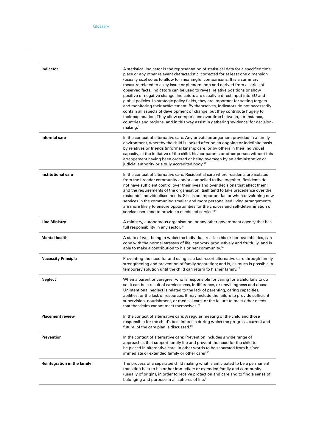| Indicator                          | A statistical indicator is the representation of statistical data for a specified time,<br>place or any other relevant characteristic, corrected for at least one dimension<br>(usually size) so as to allow for meaningful comparisons. It is a summary<br>measure related to a key issue or phenomenon and derived from a series of<br>observed facts. Indicators can be used to reveal relative positions or show<br>positive or negative change. Indicators are usually a direct input into EU and<br>global policies. In strategic policy fields, they are important for setting targets<br>and monitoring their achievement. By themselves, indicators do not necessarily<br>contain all aspects of development or change, but they contribute hugely to<br>their explanation. They allow comparisons over time between, for instance,<br>countries and regions, and in this way assist in gathering 'evidence' for decision-<br>making. <sup>22</sup> |
|------------------------------------|--------------------------------------------------------------------------------------------------------------------------------------------------------------------------------------------------------------------------------------------------------------------------------------------------------------------------------------------------------------------------------------------------------------------------------------------------------------------------------------------------------------------------------------------------------------------------------------------------------------------------------------------------------------------------------------------------------------------------------------------------------------------------------------------------------------------------------------------------------------------------------------------------------------------------------------------------------------|
| Informal care                      | In the context of alternative care: Any private arrangement provided in a family<br>environment, whereby the child is looked after on an ongoing or indefinite basis<br>by relatives or friends (informal kinship care) or by others in their individual<br>capacity, at the initiative of the child, his/her parents or other person without this<br>arrangement having been ordered or being overseen by an administrative or<br>judicial authority or a duly accredited body. <sup>23</sup>                                                                                                                                                                                                                                                                                                                                                                                                                                                               |
| <b>Institutional care</b>          | In the context of alternative care: Residential care where residents are isolated<br>from the broader community and/or compelled to live together; Residents do<br>not have sufficient control over their lives and over decisions that affect them;<br>and the requirements of the organisation itself tend to take precedence over the<br>residents' individualised needs. Size is an important factor when developing new<br>services in the community: smaller and more personalised living arrangements<br>are more likely to ensure opportunities for the choices and self-determination of<br>service users and to provide a needs-led service. <sup>24</sup>                                                                                                                                                                                                                                                                                         |
| <b>Line Ministry</b>               | A ministry, autonomous organisation, or any other government agency that has<br>full responsibility in any sector. <sup>25</sup>                                                                                                                                                                                                                                                                                                                                                                                                                                                                                                                                                                                                                                                                                                                                                                                                                             |
| <b>Mental health</b>               | A state of well-being in which the individual realizes his or her own abilities, can<br>cope with the normal stresses of life, can work productively and fruitfully, and is<br>able to make a contribution to his or her community. <sup>26</sup>                                                                                                                                                                                                                                                                                                                                                                                                                                                                                                                                                                                                                                                                                                            |
| <b>Necessity Principle</b>         | Preventing the need for and using as a last resort alternative care through family<br>strengthening and prevention of family separation; and is, as much is possible, a<br>temporary solution until the child can return to his/her family. <sup>27</sup>                                                                                                                                                                                                                                                                                                                                                                                                                                                                                                                                                                                                                                                                                                    |
| <b>Neglect</b>                     | When a parent or caregiver who is responsible for caring for a child fails to do<br>so. It can be a result of carelessness, indifference, or unwillingness and abuse.<br>Unintentional neglect is related to the lack of parenting, caring capacities,<br>abilities, or the lack of resources. It may include the failure to provide sufficient<br>supervision, nourishment, or medical care, or the failure to meet other needs<br>that the victim cannot meet themselves. <sup>28</sup>                                                                                                                                                                                                                                                                                                                                                                                                                                                                    |
| <b>Placement review</b>            | In the context of alternative care: A regular meeting of the child and those<br>responsible for the child's best interests during which the progress, current and<br>future, of the care plan is discussed. <sup>29</sup>                                                                                                                                                                                                                                                                                                                                                                                                                                                                                                                                                                                                                                                                                                                                    |
| <b>Prevention</b>                  | In the context of alternative care: Prevention includes a wide range of<br>approaches that support family life and prevent the need for the child to<br>be placed in alternative care, in other words to be separated from his/her<br>immediate or extended family or other carer. <sup>30</sup>                                                                                                                                                                                                                                                                                                                                                                                                                                                                                                                                                                                                                                                             |
| <b>Reintegration in the family</b> | The process of a separated child making what is anticipated to be a permanent<br>transition back to his or her immediate or extended family and community<br>(usually of origin), in order to receive protection and care and to find a sense of<br>belonging and purpose in all spheres of life. <sup>31</sup>                                                                                                                                                                                                                                                                                                                                                                                                                                                                                                                                                                                                                                              |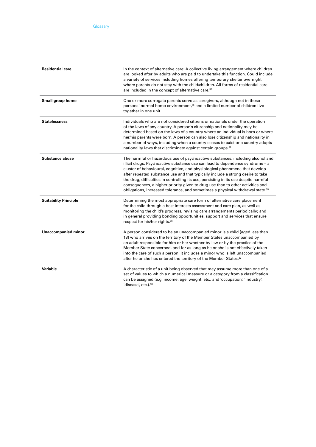| <b>Residential care</b>      | In the context of alternative care: A collective living arrangement where children<br>are looked after by adults who are paid to undertake this function. Could include<br>a variety of services including homes offering temporary shelter overnight<br>where parents do not stay with the child/children. All forms of residential care<br>are included in the concept of alternative care. <sup>32</sup>                                                                                                                                                                                               |
|------------------------------|-----------------------------------------------------------------------------------------------------------------------------------------------------------------------------------------------------------------------------------------------------------------------------------------------------------------------------------------------------------------------------------------------------------------------------------------------------------------------------------------------------------------------------------------------------------------------------------------------------------|
| Small group home             | One or more surrogate parents serve as caregivers, although not in those<br>persons' normal home environment, <sup>33</sup> and a limited number of children live<br>together in one unit.                                                                                                                                                                                                                                                                                                                                                                                                                |
| <b>Statelessness</b>         | Individuals who are not considered citizens or nationals under the operation<br>of the laws of any country. A person's citizenship and nationality may be<br>determined based on the laws of a country where an individual is born or where<br>her/his parents were born. A person can also lose citizenship and nationality in<br>a number of ways, including when a country ceases to exist or a country adopts<br>nationality laws that discriminate against certain groups. <sup>34</sup>                                                                                                             |
| Substance abuse              | The harmful or hazardous use of psychoactive substances, including alcohol and<br>illicit drugs. Psychoactive substance use can lead to dependence syndrome - a<br>cluster of behavioural, cognitive, and physiological phenomena that develop<br>after repeated substance use and that typically include a strong desire to take<br>the drug, difficulties in controlling its use, persisting in its use despite harmful<br>consequences, a higher priority given to drug use than to other activities and<br>obligations, increased tolerance, and sometimes a physical withdrawal state. <sup>35</sup> |
| <b>Suitability Principle</b> | Determining the most appropriate care form of alternative care placement<br>for the child through a best interests assessment and care plan, as well as<br>monitoring the child's progress, revising care arrangements periodically; and<br>in general providing bonding opportunities, support and services that ensure<br>respect for his/her rights. <sup>36</sup>                                                                                                                                                                                                                                     |
| <b>Unaccompanied minor</b>   | A person considered to be an unaccompanied minor is a child (aged less than<br>18) who arrives on the territory of the Member States unaccompanied by<br>an adult responsible for him or her whether by law or by the practice of the<br>Member State concerned, and for as long as he or she is not effectively taken<br>into the care of such a person. It includes a minor who is left unaccompanied<br>after he or she has entered the territory of the Member States. <sup>37</sup>                                                                                                                  |
| Variable                     | A characteristic of a unit being observed that may assume more than one of a<br>set of values to which a numerical measure or a category from a classification<br>can be assigned (e.g. income, age, weight, etc., and 'occupation', 'industry',<br>disease', etc.). <sup>38</sup>                                                                                                                                                                                                                                                                                                                        |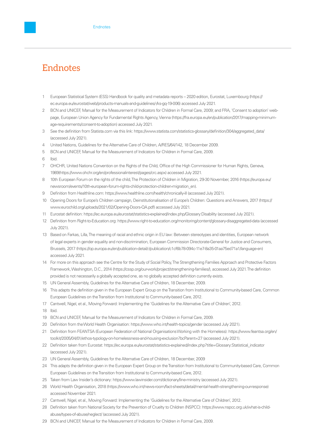## Endnotes

- 1 European Statistical System (ESS) Handbook for quality and metadata reports 2020 edition, Eurostat, Luxembourg ([https://](https://ec.europa.eu/eurostat/web/products-manuals-and-guidelines/-/ks-gq-19-006) [ec.europa.eu/eurostat/web/products-manuals-and-guidelines/-/ks-gq-19-006](https://ec.europa.eu/eurostat/web/products-manuals-and-guidelines/-/ks-gq-19-006)) accessed July 2021.
- 2 BCN and UNICEF, Manual for the Measurement of Indicators for Children in Formal Care, 2009; and FRA, 'Consent to adoption' webpage, European Union Agency for Fundamental Rights Agency, Vienna [\(https://fra.europa.eu/en/publication/2017/mapping-minimum](https://fra.europa.eu/en/publication/2017/mapping-minimum-age-requirements/consent-to-adoption)[age-requirements/consent-to-adoption\)](https://fra.europa.eu/en/publication/2017/mapping-minimum-age-requirements/consent-to-adoption) accessed July 2021.
- 3 See the definition from Statista.com via this link: https://www.statista.com/statistics-glossary/definition/304/aggregated\_data/ (accessed July 2021).
- 4 United Nations, Guidelines for the Alternative Care of Children, A/RES/64/142, 18 December 2009.
- 5 BCN and UNICEF, Manual for the Measurement of Indicators for Children in Formal Care, 2009.
- 6 Ibid.
- 7 OHCHR, United Nations Convention on the Rights of the Child, Office of the High Commissioner for Human Rights, Geneva, 1989[\(https://www.ohchr.org/en/professionalinterest/pages/crc.aspx\)](https://www.ohchr.org/en/professionalinterest/pages/crc.aspx) accessed July 2021.
- 8 10th European Forum on the rights of the child, The Protection of Children in Migration, 29-30 November, 2016 (https://europa.eu/ newsroom/events/10th-european-forum-rights-child-protection-children-migration\_en).
- Definition from Healthline.com: <https://www.healthline.com/health/chronically-ill> (accessed July 2021).
- 10 Opening Doors for Europe's Children campaign, Deinstitutionalisation of Europe's Children: Questions and Answers, 2017 [\(https://](https://www.eurochild.org/uploads/2021/02/Opening-Doors-QA.pdf) [www.eurochild.org/uploads/2021/02/Opening-Doors-QA.pdf\)](https://www.eurochild.org/uploads/2021/02/Opening-Doors-QA.pdf) accessed July 2021.
- 11 Eurostat definition: <https://ec.europa.eu/eurostat/statistics-explained/index.php/Glossary:Disability> (accessed July 2021).
- 12 Definition from Right-to-Education.org: <https://www.right-to-education.org/monitoring/content/glossary-disaggregated-data> (accessed July 2021).
- 13 Based on Farkas, Lilla, The meaning of racial and ethnic origin in EU law: Between stereotypes and identities, European network of legal experts in gender equality and non-discrimination, European Commission Directorate-General for Justice and Consumers, Brussels, 2017 [\(https://op.europa.eu/en/publication-detail/-/publication/c1cf6b78-094c-11e7-8a35-01aa75ed71a1/language-en](https://op.europa.eu/en/publication-detail/-/publication/c1cf6b78-094c-11e7-8a35-01aa75ed71a1/language-en)) accessed July 2021.
- 14 For more on this approach see the Centre for the Study of Social Policy, The Strengthening Families Approach and Protective Factors Framework, Washington, D.C., 2014 (https://cssp.org/our-work/project/strengthening-families/), accessed July 2021. The definition provided is not necessarily a globally accepted one, as no globally accepted definition currently exists.
- 15 UN General Assembly, Guidelines for the Alternative Care of Children, 18 December, 2009.
- 16 This adapts the definition given in the European Expert Group on the Transition from Institutional to Community-based Care, Common European Guidelines on the Transition from Institutional to Community-based Care, 2012.
- 17 Cantwell, Nigel, et al., Moving Forward: Implementing the 'Guidelines for the Alternative Care of Children', 2012.
- 18 Ibid.
- 19 BCN and UNICEF, Manual for the Measurement of Indicators for Children in Formal Care, 2009.
- 20 Definition from the World Health Organisation: <https://www.who.int/health-topics/gender>(accessed July 2021).
- 21 Definition from FEANTSA (European Federation of National Organisations Working with the Homeless): [https://www.feantsa.org/en/](https://www.feantsa.org/en/toolkit/2005/04/01/ethos-typology-on-homelessness-and-housing-exclusion?bcParent=27) [toolkit/2005/04/01/ethos-typology-on-homelessness-and-housing-exclusion?bcParent=27](https://www.feantsa.org/en/toolkit/2005/04/01/ethos-typology-on-homelessness-and-housing-exclusion?bcParent=27) (accessed July 2021).
- 22 Definition taken from Eurostat: [https://ec.europa.eu/eurostat/statistics-explained/index.php?title=Glossary:Statistical\\_indicator](https://ec.europa.eu/eurostat/statistics-explained/index.php?title=Glossary:Statistical_indicator) (accessed July 2021).
- 23 UN General Assembly, Guidelines for the Alternative Care of Children, 18 December, 2009
- 24 This adapts the definition given in the European Expert Group on the Transition from Institutional to Community-based Care, Common European Guidelines on the Transition from Institutional to Community-based Care, 2012.
- 25 Taken from Law Insider's dictionary: <https://www.lawinsider.com/dictionary/line-ministry>(accessed July 2021).
- 26 World Health Organisation, 2018 (<https://www.who.int/news-room/fact-sheets/detail/mental-health-strengthening-our-response>) accessed November 2021.
- 27 Cantwell, Nigel, et al., Moving Forward: Implementing the 'Guidelines for the Alternative Care of Children', 2012.
- 28 Definition taken from National Society for the Prevention of Cruelty to Children (NSPCC): [https://www.nspcc.org.uk/what-is-child](https://www.nspcc.org.uk/what-is-child-abuse/types-of-abuse/neglect/)[abuse/types-of-abuse/neglect/](https://www.nspcc.org.uk/what-is-child-abuse/types-of-abuse/neglect/) (accessed July 2021).
- 29 BCN and UNICEF, Manual for the Measurement of Indicators for Children in Formal Care, 2009.